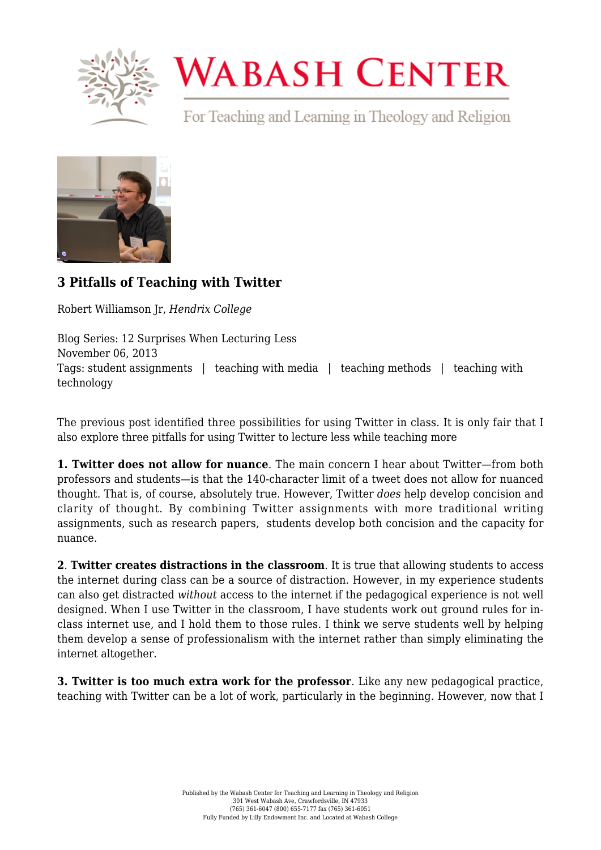

## **WABASH CENTER**

For Teaching and Learning in Theology and Religion



## **[3 Pitfalls of Teaching with Twitter](https://www.wabashcenter.wabash.edu/2013/11/3-pitfalls-of-teaching-with-twitter/)**

Robert Williamson Jr, *Hendrix College*

Blog Series: 12 Surprises When Lecturing Less November 06, 2013 Tags: student assignments | teaching with media | teaching methods | teaching with technology

The previous post identified three possibilities for using Twitter in class. It is only fair that I also explore three pitfalls for using Twitter to lecture less while teaching more

**1. Twitter does not allow for nuance**. The main concern I hear about Twitter—from both professors and students—is that the 140-character limit of a tweet does not allow for nuanced thought. That is, of course, absolutely true. However, Twitter *does* help develop concision and clarity of thought. By combining Twitter assignments with more traditional writing assignments, such as research papers, students develop both concision and the capacity for nuance.

**2**. **Twitter creates distractions in the classroom**. It is true that allowing students to access the internet during class can be a source of distraction. However, in my experience students can also get distracted *without* access to the internet if the pedagogical experience is not well designed. When I use Twitter in the classroom, I have students work out ground rules for inclass internet use, and I hold them to those rules. I think we serve students well by helping them develop a sense of professionalism with the internet rather than simply eliminating the internet altogether.

**3. Twitter is too much extra work for the professor**. Like any new pedagogical practice, teaching with Twitter can be a lot of work, particularly in the beginning. However, now that I